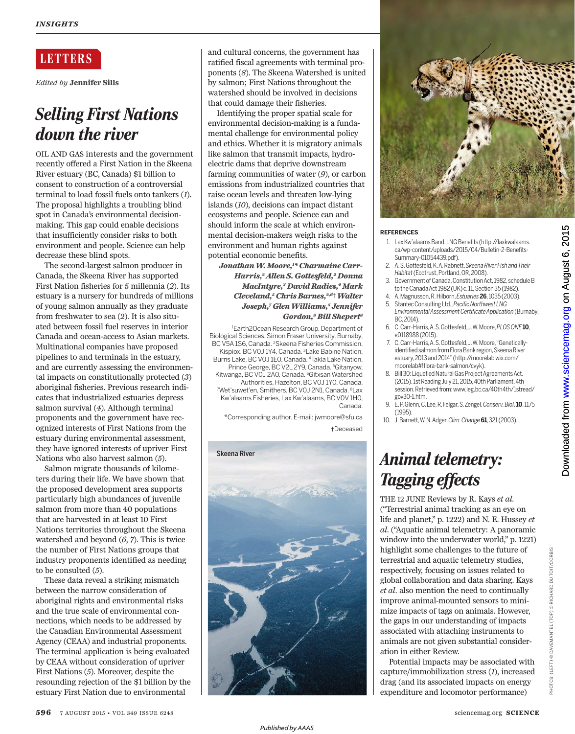### **LETTERS**

*Edited by* **Jennifer Sills**

# *Selling First Nations down the river*

OIL AND GAS interests and the government recently offered a First Nation in the Skeena River estuary (BC, Canada) \$1 billion to consent to construction of a controversial terminal to load fossil fuels onto tankers (*1*). The proposal highlights a troubling blind spot in Canada's environmental decisionmaking. This gap could enable decisions that insufficiently consider risks to both environment and people. Science can help decrease these blind spots.

The second-largest salmon producer in Canada, the Skeena River has supported First Nation fisheries for 5 millennia (*2*). Its estuary is a nursery for hundreds of millions of young salmon annually as they graduate from freshwater to sea (*2*). It is also situated between fossil fuel reserves in interior Canada and ocean-access to Asian markets. Multinational companies have proposed pipelines to and terminals in the estuary, and are currently assessing the environmental impacts on constitutionally protected (*3*) aboriginal fisheries. Previous research indicates that industrialized estuaries depress salmon survival (*4*). Although terminal proponents and the government have recognized interests of First Nations from the estuary during environmental assessment, they have ignored interests of upriver First Nations who also harvest salmon (*5*).

Salmon migrate thousands of kilometers during their life. We have shown that the proposed development area supports particularly high abundances of juvenile salmon from more than 40 populations that are harvested in at least 10 First Nations territories throughout the Skeena watershed and beyond (*6*, *7*). This is twice the number of First Nations groups that industry proponents identified as needing to be consulted (*5*).

These data reveal a striking mismatch between the narrow consideration of aboriginal rights and environmental risks and the true scale of environmental connections, which needs to be addressed by the Canadian Environmental Assessment Agency (CEAA) and industrial proponents. The terminal application is being evaluated by CEAA without consideration of upriver First Nations (*5*). Moreover, despite the resounding rejection of the \$1 billion by the estuary First Nation due to environmental

and cultural concerns, the government has ratified fiscal agreements with terminal proponents (*8*). The Skeena Watershed is united by salmon; First Nations throughout the watershed should be involved in decisions that could damage their fisheries.

Identifying the proper spatial scale for environmental decision-making is a fundamental challenge for environmental policy and ethics. Whether it is migratory animals like salmon that transmit impacts, hydroelectric dams that deprive downstream farming communities of water (*9*), or carbon emissions from industrialized countries that raise ocean levels and threaten low-lying islands (*10*), decisions can impact distant ecosystems and people. Science can and should inform the scale at which environmental decision-makers weigh risks to the environment and human rights against potential economic benefits.

*Jonathan W. Moore, 1 \* Charmaine Carr-Harris, 2 Allen S. Gottesfeld, 2 Donna MacIntyre, 3 David Radies, 4 Mark Cleveland, 5 Chris Barnes,2,6*† *Walter Joseph, 7 Glen Williams, 5 Jennifer Gordon, 8 Bill Shepert 8*

<sup>1</sup>Earth2Ocean Research Group, Department of Biological Sciences, Simon Fraser University, Burnaby, BC V5A 1S6, Canada. <sup>2</sup>Skeena Fisheries Commission, Kispiox, BC V0J 1Y4, Canada. <sup>3</sup>Lake Babine Nation, Burns Lake, BC V0J 1E0, Canada. <sup>4</sup>Takla Lake Nation, Prince George, BC V2L 2Y9, Canada. <sup>5</sup>Gitanyow, Kitwanga, BC V0J 2A0, Canada. <sup>6</sup>Gitxsan Watershed Authorities, Hazelton, BC V0J 1Y0, Canada. <sup>7</sup>Wet'suwet'en, Smithers, BC V0J 2N1, Canada. <sup>8</sup>Lax Kw'alaams Fisheries, Lax Kw'alaams, BC V0V 1H0, Canada.

\*Corresponding author. E-mail: jwmoore@sfu.ca †Deceased





### **REFERENCES**

- 1. Lax Kw'alaams Band, LNG Benefits (http://laxkwalaams. ca/wp-content/uploads/2015/04/Bulletin-2-Benefits-Summary-01054439.pdf).
- 2. A. S. Gottesfeld, K. A. Rabnett, *Skeena River Fish and Their Habitat* (Ecotrust, Portland, OR, 2008).
- 3. Government of Canada, Constitution Act, 1982, schedule B to the Canada Act 1982 (UK) c. 11, Section 35 (1982).
- 4. A. Magnusson, R. Hilborn, *Estuaries***26**, 1035 (2003). 5. Stantec Consulting Ltd., *Pacific Northwest LNG*
- *Environmental Assessment Certificate Application* (Burnaby, BC, 2014).
- 6. C. Carr-Harris, A. S. Gottesfeld, J. W. Moore, *PLOS ONE***10**, e0118988 (2015).
- 7. C. Carr-Harris, A. S. Gottesfeld, J. W. Moore, "Geneticallyidentified salmon from Flora Bank region, Skeena River estuary, 2013 and 2014" (http://moorelab.wix.com/ moorelab#!flora-bank-salmon/cvyk).
- 8. Bill 30: Liquefied Natural Gas Project Agreements Act. (2015). 1st Reading July 21, 2015, 40th Parliament, 4th session. Retrieved from: www.leg.bc.ca/40th4th/1stread/ gov30-1.htm.
- 9. E. P. Glenn, C. Lee, R. Felgar, S. Zengel, *Conserv. Biol*. **10**, 1175 (1995).
- 10. J. Barnett, W. N. Adger, *Clim. Change***61**, 321 (2003).

# *Animal telemetry: Tagging effects*

THE 12 JUNE Reviews by R. Kays *et al*. ("Terrestrial animal tracking as an eye on life and planet," p. 1222) and N. E. Hussey *et al*. ("Aquatic animal telemetry: A panoramic window into the underwater world," p. 1221) highlight some challenges to the future of terrestrial and aquatic telemetry studies, respectively, focusing on issues related to global collaboration and data sharing. Kays *et al.* also mention the need to continually improve animal-mounted sensors to minimize impacts of tags on animals. However, the gaps in our understanding of impacts associated with attaching instruments to animals are not given substantial consideration in either Review.

Potential impacts may be associated with capture/immobilization stress (*1*), increased drag (and its associated impacts on energy expenditure and locomotor performance)

on August 6, 2015

[www.sciencemag.org](http://www.sciencemag.org/)

Downloaded from www.sciencemag.org on August 6, 2015

Downloaded from